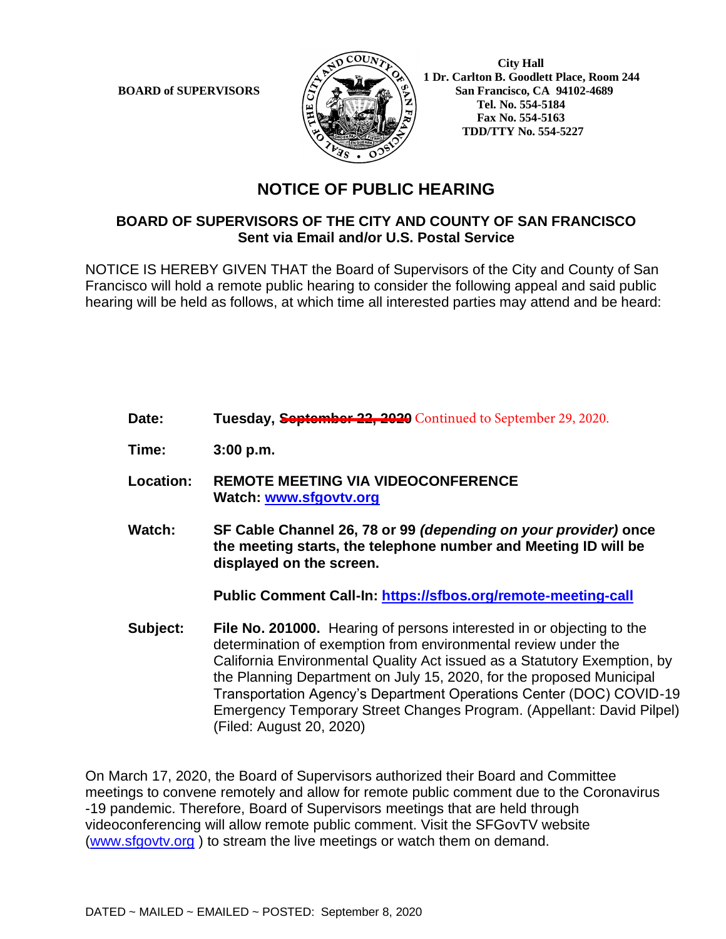

 **City Hall 1 Dr. Carlton B. Goodlett Place, Room 244 BOARD of SUPERVISORS**  $\left(\frac{S}{I}\right)$   $\oplus$   $\left(\frac{S}{I}\right)$  San Francisco, CA 94102-4689  **Tel. No. 554-5184 Fax No. 554-5163 TDD/TTY No. 554-5227**

## **NOTICE OF PUBLIC HEARING**

## **BOARD OF SUPERVISORS OF THE CITY AND COUNTY OF SAN FRANCISCO Sent via Email and/or U.S. Postal Service**

NOTICE IS HEREBY GIVEN THAT the Board of Supervisors of the City and County of San Francisco will hold a remote public hearing to consider the following appeal and said public hearing will be held as follows, at which time all interested parties may attend and be heard:

- Date: Tuesday, **September 22, 2020** Continued to September 29, 2020.
- **Time: 3:00 p.m.**
- **Location: REMOTE MEETING VIA VIDEOCONFERENCE Watch: www.sfgovtv.org**
- **Watch: SF Cable Channel 26, 78 or 99** *(depending on your provider)* **once the meeting starts, the telephone number and Meeting ID will be displayed on the screen.**

**Public Comment Call-In: https://sfbos.org/remote-meeting-call**

**Subject: File No. 201000.** Hearing of persons interested in or objecting to the determination of exemption from environmental review under the California Environmental Quality Act issued as a Statutory Exemption, by the Planning Department on July 15, 2020, for the proposed Municipal Transportation Agency's Department Operations Center (DOC) COVID-19 Emergency Temporary Street Changes Program. (Appellant: David Pilpel) (Filed: August 20, 2020)

On March 17, 2020, the Board of Supervisors authorized their Board and Committee meetings to convene remotely and allow for remote public comment due to the Coronavirus -19 pandemic. Therefore, Board of Supervisors meetings that are held through videoconferencing will allow remote public comment. Visit the SFGovTV website (www.sfgovtv.org ) to stream the live meetings or watch them on demand.